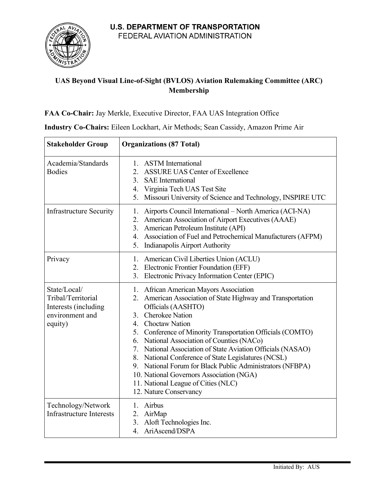

## **UAS Beyond Visual Line-of-Sight (BVLOS) Aviation Rulemaking Committee (ARC) Membership**

## **FAA Co-Chair:** Jay Merkle, Executive Director, FAA UAS Integration Office

| <b>Stakeholder Group</b>                                                                 | <b>Organizations (87 Total)</b>                                                                                                                                                                                                                                                                                                                                                                                                                                                                                                                                                       |
|------------------------------------------------------------------------------------------|---------------------------------------------------------------------------------------------------------------------------------------------------------------------------------------------------------------------------------------------------------------------------------------------------------------------------------------------------------------------------------------------------------------------------------------------------------------------------------------------------------------------------------------------------------------------------------------|
| Academia/Standards<br><b>Bodies</b>                                                      | 1. ASTM International<br>2. ASSURE UAS Center of Excellence<br><b>SAE</b> International<br>3.<br>4. Virginia Tech UAS Test Site<br>5. Missouri University of Science and Technology, INSPIRE UTC                                                                                                                                                                                                                                                                                                                                                                                      |
| <b>Infrastructure Security</b>                                                           | Airports Council International – North America (ACI-NA)<br>1.<br>American Association of Airport Executives (AAAE)<br>2.<br>3. American Petroleum Institute (API)<br>4. Association of Fuel and Petrochemical Manufacturers (AFPM)<br>5. Indianapolis Airport Authority                                                                                                                                                                                                                                                                                                               |
| Privacy                                                                                  | 1. American Civil Liberties Union (ACLU)<br>2. Electronic Frontier Foundation (EFF)<br>3. Electronic Privacy Information Center (EPIC)                                                                                                                                                                                                                                                                                                                                                                                                                                                |
| State/Local/<br>Tribal/Territorial<br>Interests (including<br>environment and<br>equity) | 1. African American Mayors Association<br>American Association of State Highway and Transportation<br>2.<br>Officials (AASHTO)<br>3. Cherokee Nation<br>4. Choctaw Nation<br>5. Conference of Minority Transportation Officials (COMTO)<br>6. National Association of Counties (NACo)<br>7. National Association of State Aviation Officials (NASAO)<br>8. National Conference of State Legislatures (NCSL)<br>9. National Forum for Black Public Administrators (NFBPA)<br>10. National Governors Association (NGA)<br>11. National League of Cities (NLC)<br>12. Nature Conservancy |
| Technology/Network<br><b>Infrastructure Interests</b>                                    | 1. Airbus<br>2. AirMap<br>3. Aloft Technologies Inc.<br>4. AriAscend/DSPA                                                                                                                                                                                                                                                                                                                                                                                                                                                                                                             |

**Industry Co-Chairs:** Eileen Lockhart, Air Methods; Sean Cassidy, Amazon Prime Air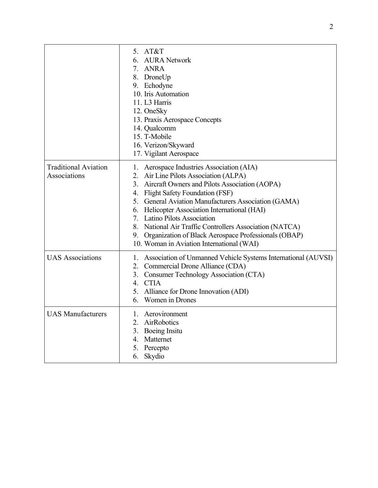|                                             | 5. AT&T<br><b>AURA</b> Network<br>6.<br>7. ANRA<br>8. DroneUp<br>9. Echodyne<br>10. Iris Automation<br>11. L3 Harris<br>12. OneSky<br>13. Praxis Aerospace Concepts<br>14. Qualcomm<br>15. T-Mobile<br>16. Verizon/Skyward<br>17. Vigilant Aerospace                                                                                                                                                                                                                                    |
|---------------------------------------------|-----------------------------------------------------------------------------------------------------------------------------------------------------------------------------------------------------------------------------------------------------------------------------------------------------------------------------------------------------------------------------------------------------------------------------------------------------------------------------------------|
| <b>Traditional Aviation</b><br>Associations | 1. Aerospace Industries Association (AIA)<br>2. Air Line Pilots Association (ALPA)<br>3. Aircraft Owners and Pilots Association (AOPA)<br>4. Flight Safety Foundation (FSF)<br>5. General Aviation Manufacturers Association (GAMA)<br>6. Helicopter Association International (HAI)<br>7. Latino Pilots Association<br>8. National Air Traffic Controllers Association (NATCA)<br>9. Organization of Black Aerospace Professionals (OBAP)<br>10. Woman in Aviation International (WAI) |
| <b>UAS</b> Associations                     | 1. Association of Unmanned Vehicle Systems International (AUVSI)<br>2. Commercial Drone Alliance (CDA)<br>3. Consumer Technology Association (CTA)<br>4. CTIA<br>5. Alliance for Drone Innovation (ADI)<br>Women in Drones<br>6.                                                                                                                                                                                                                                                        |
| <b>UAS Manufacturers</b>                    | 1. Aerovironment<br>2. AirRobotics<br>3. Boeing Insitu<br>4. Matternet<br>5. Percepto<br>Skydio<br>6.                                                                                                                                                                                                                                                                                                                                                                                   |